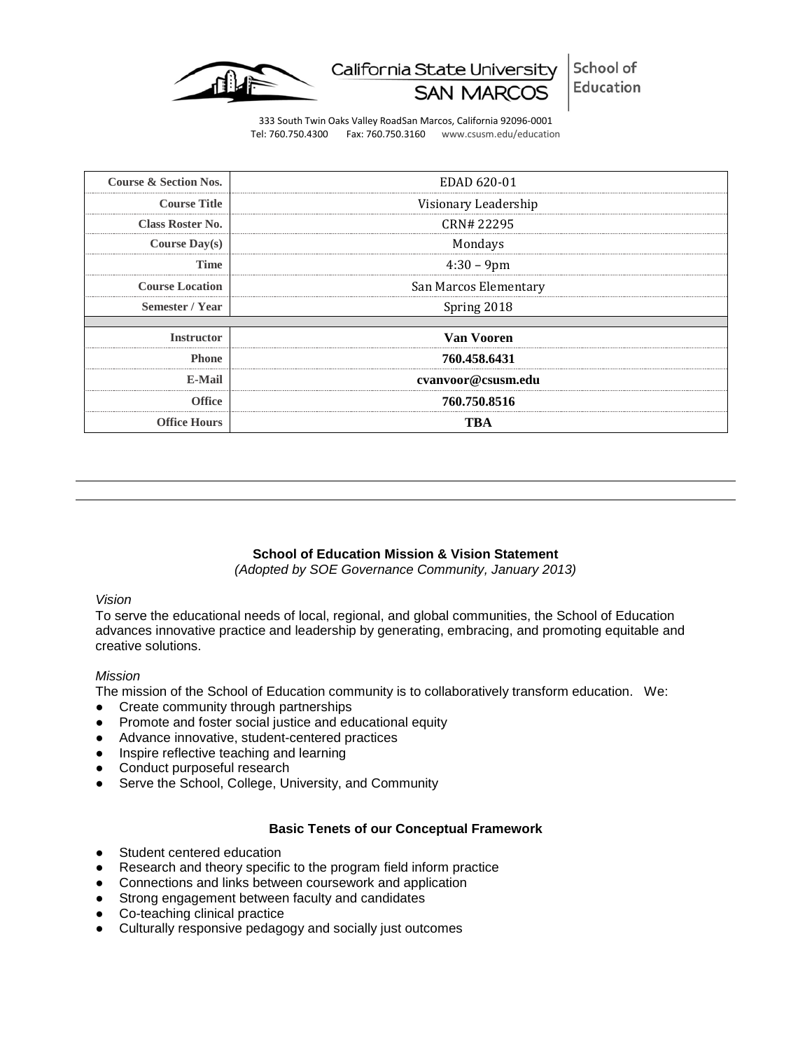

School of California State University Education **SAN MARC** 

333 South Twin Oaks Valley RoadSan Marcos, California 92096-0001 Tel: 760.750.4300 Fax: 760.750.3160 www.csusm.edu/education

| <b>Course &amp; Section Nos.</b> | EDAD 620-01                                 |
|----------------------------------|---------------------------------------------|
| <b>Course Title</b>              | Visionary Leadership                        |
| <b>Class Roster No.</b>          | CRN# 22295                                  |
| Course $Day(s)$                  | Mondays                                     |
| Time                             | $4:30 - 9$ pm                               |
| <b>Course Location</b>           | San Marcos Elementary<br>------------------ |
| Semester / Year                  | Spring 2018                                 |
|                                  |                                             |
| <b>Instructor</b>                | Van Vooren                                  |
| <b>Phone</b>                     | 760.458.6431                                |
| E-Mail                           | cvanvoor@csusm.edu                          |
| <b>Office</b>                    | 760.750.8516                                |
| <b>Office Hours</b>              | I'R A                                       |

#### **School of Education Mission & Vision Statement**

*(Adopted by SOE Governance Community, January 2013)*

## *Vision*

To serve the educational needs of local, regional, and global communities, the School of Education advances innovative practice and leadership by generating, embracing, and promoting equitable and creative solutions.

#### *Mission*

The mission of the School of Education community is to collaboratively transform education. We:

- Create community through partnerships
- Promote and foster social justice and educational equity
- Advance innovative, student-centered practices
- Inspire reflective teaching and learning
- Conduct purposeful research
- Serve the School, College, University, and Community

#### **Basic Tenets of our Conceptual Framework**

- Student centered education
- Research and theory specific to the program field inform practice
- Connections and links between coursework and application
- Strong engagement between faculty and candidates
- Co-teaching clinical practice
- Culturally responsive pedagogy and socially just outcomes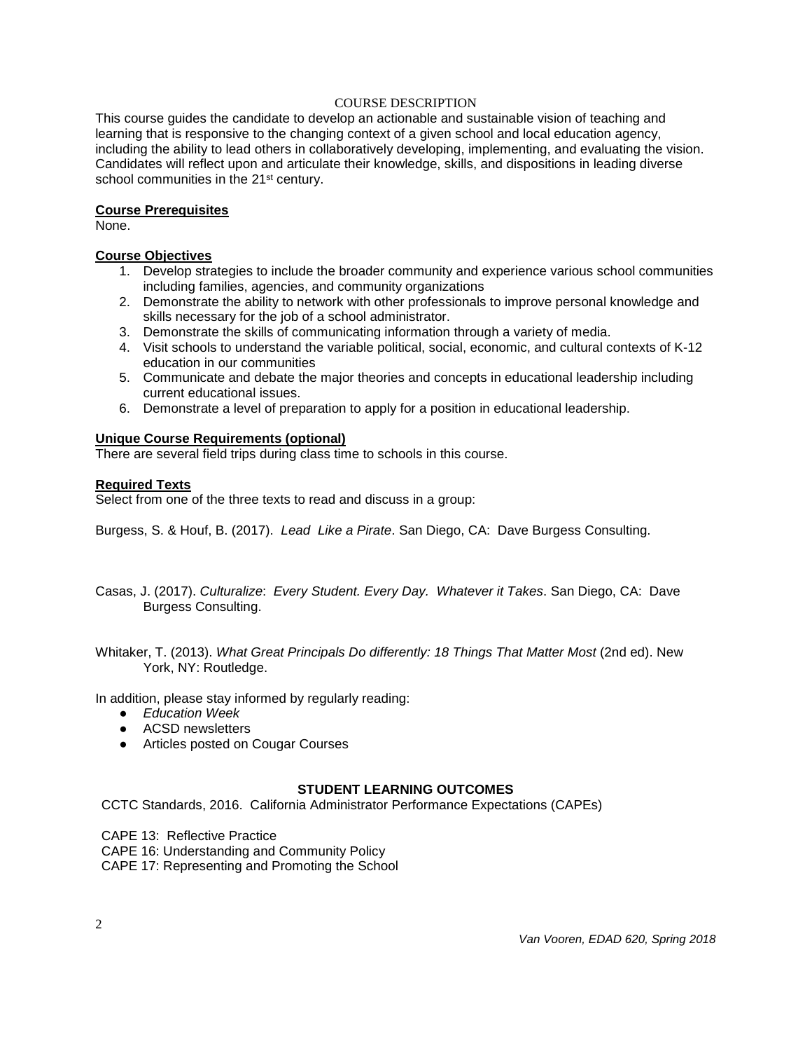## COURSE DESCRIPTION

This course guides the candidate to develop an actionable and sustainable vision of teaching and learning that is responsive to the changing context of a given school and local education agency, including the ability to lead others in collaboratively developing, implementing, and evaluating the vision. Candidates will reflect upon and articulate their knowledge, skills, and dispositions in leading diverse school communities in the 21<sup>st</sup> century.

## **Course Prerequisites**

None.

## **Course Objectives**

- 1. Develop strategies to include the broader community and experience various school communities including families, agencies, and community organizations
- 2. Demonstrate the ability to network with other professionals to improve personal knowledge and skills necessary for the job of a school administrator.
- 3. Demonstrate the skills of communicating information through a variety of media.
- 4. Visit schools to understand the variable political, social, economic, and cultural contexts of K-12 education in our communities
- 5. Communicate and debate the major theories and concepts in educational leadership including current educational issues.
- 6. Demonstrate a level of preparation to apply for a position in educational leadership.

## **Unique Course Requirements (optional)**

There are several field trips during class time to schools in this course.

## **Required Texts**

Select from one of the three texts to read and discuss in a group:

Burgess, S. & Houf, B. (2017). *Lead Like a Pirate*. San Diego, CA: Dave Burgess Consulting.

- Casas, J. (2017). *Culturalize*: *Every Student. Every Day. Whatever it Takes*. San Diego, CA: Dave Burgess Consulting.
- Whitaker, T. (2013). *What Great Principals Do differently: 18 Things That Matter Most* (2nd ed). New York, NY: Routledge.

In addition, please stay informed by regularly reading:

- *Education Week*
- ACSD newsletters
- Articles posted on Cougar Courses

## **STUDENT LEARNING OUTCOMES**

CCTC Standards, 2016. California Administrator Performance Expectations (CAPEs)

CAPE 13: Reflective Practice

CAPE 16: Understanding and Community Policy

CAPE 17: Representing and Promoting the School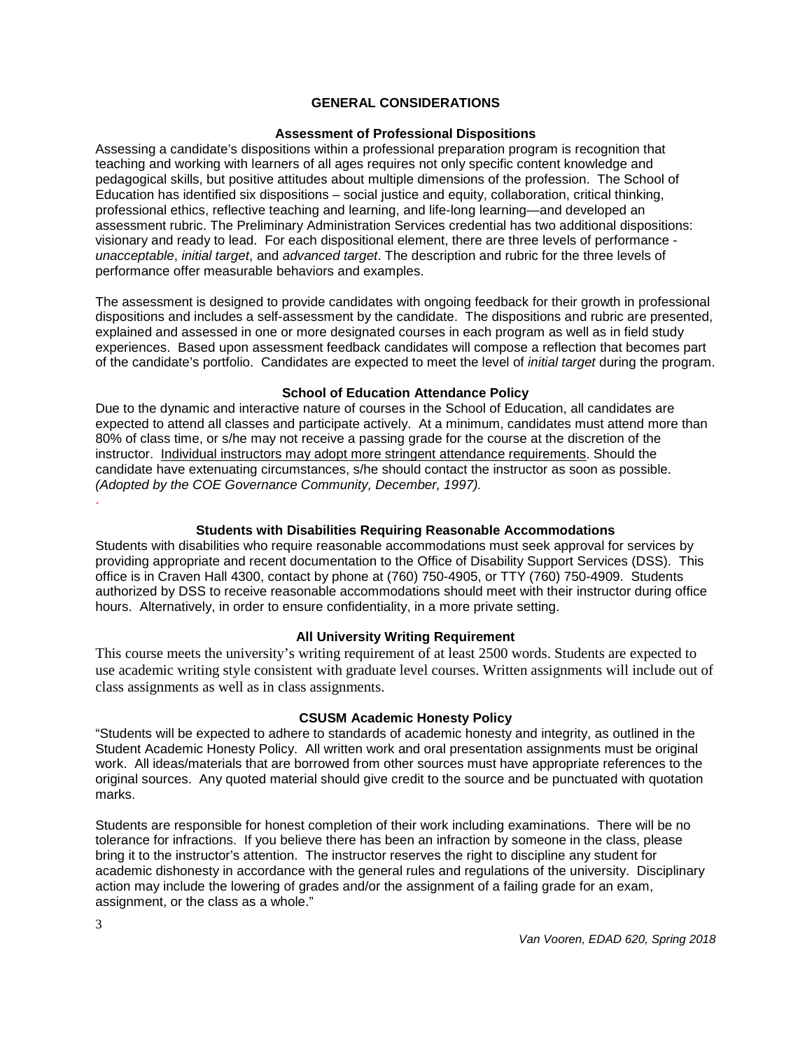## **GENERAL CONSIDERATIONS**

#### **Assessment of Professional Dispositions**

Assessing a candidate's dispositions within a professional preparation program is recognition that teaching and working with learners of all ages requires not only specific content knowledge and pedagogical skills, but positive attitudes about multiple dimensions of the profession. The School of Education has identified six dispositions – social justice and equity, collaboration, critical thinking, professional ethics, reflective teaching and learning, and life-long learning—and developed an assessment rubric. The Preliminary Administration Services credential has two additional dispositions: visionary and ready to lead. For each dispositional element, there are three levels of performance *unacceptable*, *initial target*, and *advanced target*. The description and rubric for the three levels of performance offer measurable behaviors and examples.

The assessment is designed to provide candidates with ongoing feedback for their growth in professional dispositions and includes a self-assessment by the candidate. The dispositions and rubric are presented, explained and assessed in one or more designated courses in each program as well as in field study experiences. Based upon assessment feedback candidates will compose a reflection that becomes part of the candidate's portfolio. Candidates are expected to meet the level of *initial target* during the program.

#### **School of Education Attendance Policy**

Due to the dynamic and interactive nature of courses in the School of Education, all candidates are expected to attend all classes and participate actively. At a minimum, candidates must attend more than 80% of class time, or s/he may not receive a passing grade for the course at the discretion of the instructor. Individual instructors may adopt more stringent attendance requirements. Should the candidate have extenuating circumstances, s/he should contact the instructor as soon as possible. *(Adopted by the COE Governance Community, December, 1997).* .

#### **Students with Disabilities Requiring Reasonable Accommodations**

Students with disabilities who require reasonable accommodations must seek approval for services by providing appropriate and recent documentation to the Office of Disability Support Services (DSS). This office is in Craven Hall 4300, contact by phone at (760) 750-4905, or TTY (760) 750-4909. Students authorized by DSS to receive reasonable accommodations should meet with their instructor during office hours. Alternatively, in order to ensure confidentiality, in a more private setting.

#### **All University Writing Requirement**

This course meets the university's writing requirement of at least 2500 words. Students are expected to use academic writing style consistent with graduate level courses. Written assignments will include out of class assignments as well as in class assignments.

#### **CSUSM Academic Honesty Policy**

"Students will be expected to adhere to standards of academic honesty and integrity, as outlined in the Student Academic Honesty Policy. All written work and oral presentation assignments must be original work. All ideas/materials that are borrowed from other sources must have appropriate references to the original sources. Any quoted material should give credit to the source and be punctuated with quotation marks.

Students are responsible for honest completion of their work including examinations. There will be no tolerance for infractions. If you believe there has been an infraction by someone in the class, please bring it to the instructor's attention. The instructor reserves the right to discipline any student for academic dishonesty in accordance with the general rules and regulations of the university. Disciplinary action may include the lowering of grades and/or the assignment of a failing grade for an exam, assignment, or the class as a whole."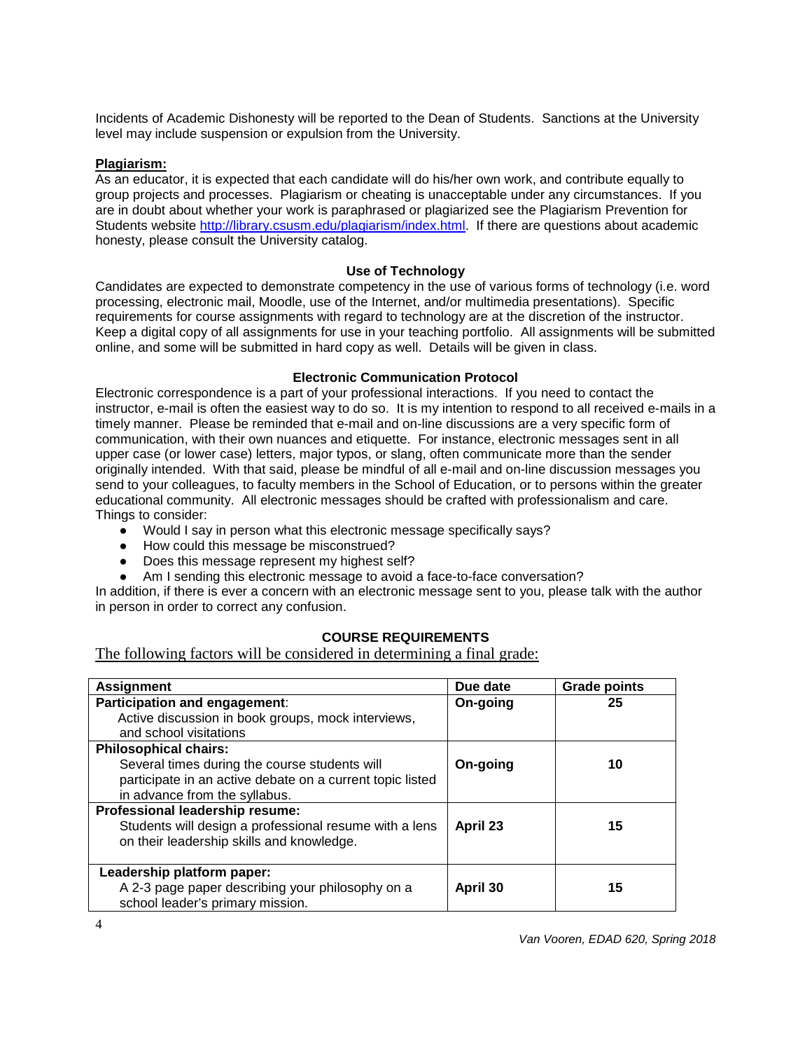Incidents of Academic Dishonesty will be reported to the Dean of Students. Sanctions at the University level may include suspension or expulsion from the University.

## **Plagiarism:**

As an educator, it is expected that each candidate will do his/her own work, and contribute equally to group projects and processes. Plagiarism or cheating is unacceptable under any circumstances. If you are in doubt about whether your work is paraphrased or plagiarized see the Plagiarism Prevention for Students website [http://library.csusm.edu/plagiarism/index.html.](http://library.csusm.edu/plagiarism/index.html) If there are questions about academic honesty, please consult the University catalog.

#### **Use of Technology**

Candidates are expected to demonstrate competency in the use of various forms of technology (i.e. word processing, electronic mail, Moodle, use of the Internet, and/or multimedia presentations). Specific requirements for course assignments with regard to technology are at the discretion of the instructor. Keep a digital copy of all assignments for use in your teaching portfolio. All assignments will be submitted online, and some will be submitted in hard copy as well. Details will be given in class.

#### **Electronic Communication Protocol**

Electronic correspondence is a part of your professional interactions. If you need to contact the instructor, e-mail is often the easiest way to do so. It is my intention to respond to all received e-mails in a timely manner. Please be reminded that e-mail and on-line discussions are a very specific form of communication, with their own nuances and etiquette. For instance, electronic messages sent in all upper case (or lower case) letters, major typos, or slang, often communicate more than the sender originally intended. With that said, please be mindful of all e-mail and on-line discussion messages you send to your colleagues, to faculty members in the School of Education, or to persons within the greater educational community. All electronic messages should be crafted with professionalism and care. Things to consider:

- Would I say in person what this electronic message specifically says?
- How could this message be misconstrued?
- Does this message represent my highest self?
- Am I sending this electronic message to avoid a face-to-face conversation?

In addition, if there is ever a concern with an electronic message sent to you, please talk with the author in person in order to correct any confusion.

## **COURSE REQUIREMENTS**

The following factors will be considered in determining a final grade:

| <b>Assignment</b>                                         | Due date | <b>Grade points</b> |
|-----------------------------------------------------------|----------|---------------------|
| Participation and engagement:                             | On-going | 25                  |
| Active discussion in book groups, mock interviews,        |          |                     |
| and school visitations                                    |          |                     |
| <b>Philosophical chairs:</b>                              |          |                     |
| Several times during the course students will             | On-going | 10                  |
| participate in an active debate on a current topic listed |          |                     |
| in advance from the syllabus.                             |          |                     |
| Professional leadership resume:                           |          |                     |
| Students will design a professional resume with a lens    | April 23 | 15                  |
| on their leadership skills and knowledge.                 |          |                     |
|                                                           |          |                     |
| Leadership platform paper:                                |          |                     |
| A 2-3 page paper describing your philosophy on a          | April 30 | 15                  |
| school leader's primary mission.                          |          |                     |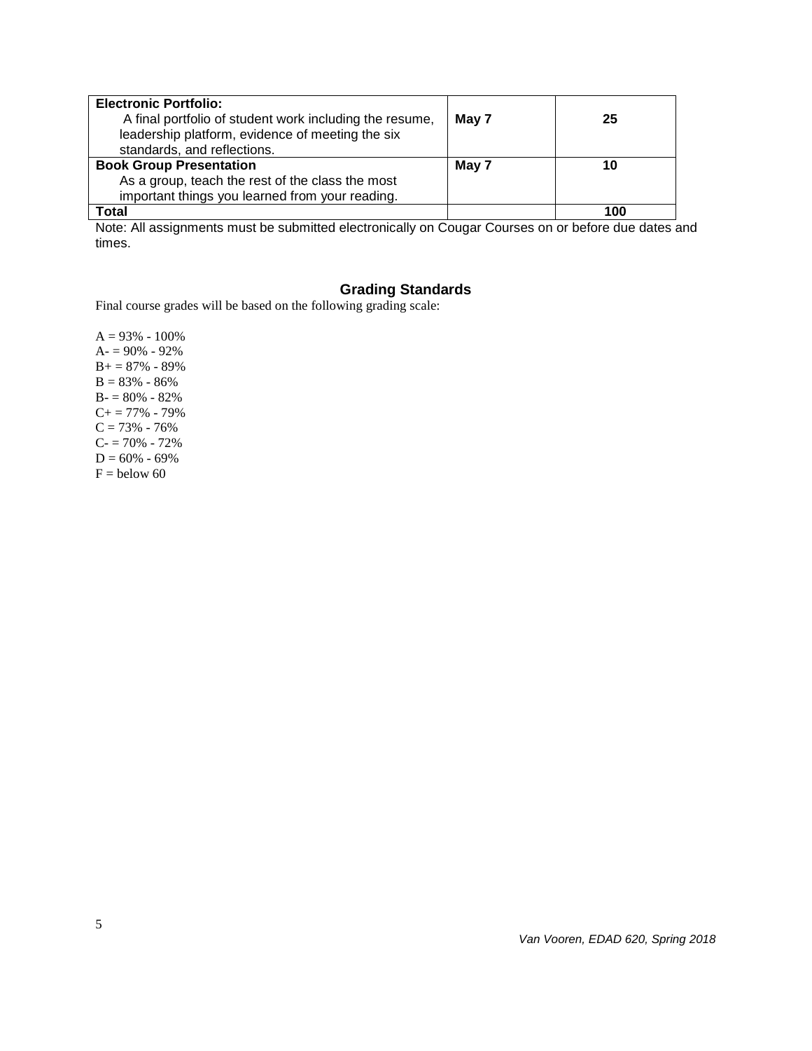| <b>Electronic Portfolio:</b><br>A final portfolio of student work including the resume,<br>leadership platform, evidence of meeting the six<br>standards, and reflections. | May 7 | 25  |
|----------------------------------------------------------------------------------------------------------------------------------------------------------------------------|-------|-----|
| <b>Book Group Presentation</b><br>As a group, teach the rest of the class the most<br>important things you learned from your reading.                                      | May 7 | 10  |
| Total                                                                                                                                                                      |       | 100 |

Note: All assignments must be submitted electronically on Cougar Courses on or before due dates and times.

# **Grading Standards**

Final course grades will be based on the following grading scale:

 $A = 93\% - 100\%$  $A = 90\% - 92\%$  $B+=87\% - 89\%$  $B = 83\% - 86\%$  $B - 80% - 82%$  $C+= 77\% - 79\%$  $C = 73% - 76%$  $C = 70% - 72%$  $D = 60\% - 69\%$  $F =$  below 60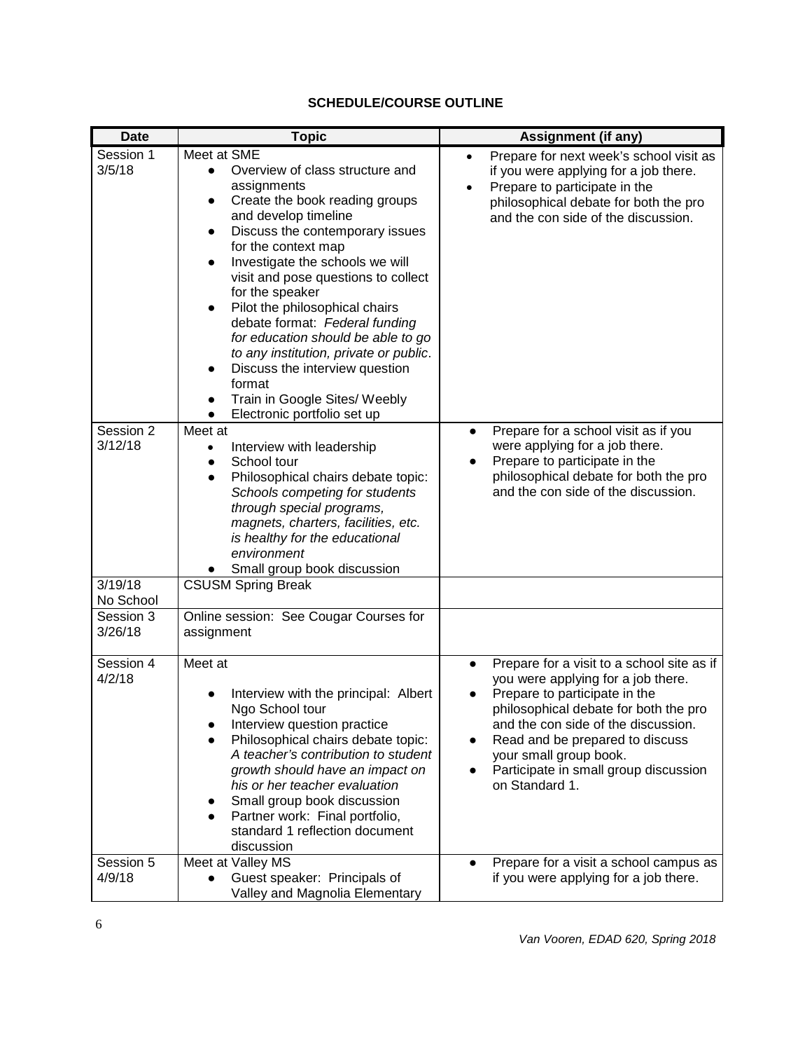## **SCHEDULE/COURSE OUTLINE**

| <b>Date</b>          | <b>Topic</b>                                                                                                                                                                                                                                                                                                                                                                                                                                                                                                                                                                                                                 | <b>Assignment (if any)</b>                                                                                                                                                                                                                                                                                                             |
|----------------------|------------------------------------------------------------------------------------------------------------------------------------------------------------------------------------------------------------------------------------------------------------------------------------------------------------------------------------------------------------------------------------------------------------------------------------------------------------------------------------------------------------------------------------------------------------------------------------------------------------------------------|----------------------------------------------------------------------------------------------------------------------------------------------------------------------------------------------------------------------------------------------------------------------------------------------------------------------------------------|
| Session 1<br>3/5/18  | Meet at SME<br>Overview of class structure and<br>$\bullet$<br>assignments<br>Create the book reading groups<br>$\bullet$<br>and develop timeline<br>Discuss the contemporary issues<br>$\bullet$<br>for the context map<br>Investigate the schools we will<br>$\bullet$<br>visit and pose questions to collect<br>for the speaker<br>Pilot the philosophical chairs<br>debate format: Federal funding<br>for education should be able to go<br>to any institution, private or public.<br>Discuss the interview question<br>$\bullet$<br>format<br>Train in Google Sites/ Weebly<br>$\bullet$<br>Electronic portfolio set up | Prepare for next week's school visit as<br>$\bullet$<br>if you were applying for a job there.<br>Prepare to participate in the<br>philosophical debate for both the pro<br>and the con side of the discussion.                                                                                                                         |
| Session 2<br>3/12/18 | Meet at<br>Interview with leadership<br>$\bullet$<br>School tour<br>$\bullet$<br>Philosophical chairs debate topic:<br>$\bullet$<br>Schools competing for students<br>through special programs,<br>magnets, charters, facilities, etc.<br>is healthy for the educational<br>environment<br>Small group book discussion                                                                                                                                                                                                                                                                                                       | Prepare for a school visit as if you<br>$\bullet$<br>were applying for a job there.<br>Prepare to participate in the<br>philosophical debate for both the pro<br>and the con side of the discussion.                                                                                                                                   |
| 3/19/18<br>No School | <b>CSUSM Spring Break</b>                                                                                                                                                                                                                                                                                                                                                                                                                                                                                                                                                                                                    |                                                                                                                                                                                                                                                                                                                                        |
| Session 3<br>3/26/18 | Online session: See Cougar Courses for<br>assignment                                                                                                                                                                                                                                                                                                                                                                                                                                                                                                                                                                         |                                                                                                                                                                                                                                                                                                                                        |
| Session 4<br>4/2/18  | Meet at<br>Interview with the principal: Albert<br>Ngo School tour<br>Interview question practice<br>Philosophical chairs debate topic:<br>A teacher's contribution to student<br>growth should have an impact on<br>his or her teacher evaluation<br>Small group book discussion<br>Partner work: Final portfolio,<br>standard 1 reflection document<br>discussion                                                                                                                                                                                                                                                          | Prepare for a visit to a school site as if<br>$\bullet$<br>you were applying for a job there.<br>Prepare to participate in the<br>philosophical debate for both the pro<br>and the con side of the discussion.<br>Read and be prepared to discuss<br>your small group book.<br>Participate in small group discussion<br>on Standard 1. |
| Session 5<br>4/9/18  | Meet at Valley MS<br>Guest speaker: Principals of<br>Valley and Magnolia Elementary                                                                                                                                                                                                                                                                                                                                                                                                                                                                                                                                          | Prepare for a visit a school campus as<br>if you were applying for a job there.                                                                                                                                                                                                                                                        |